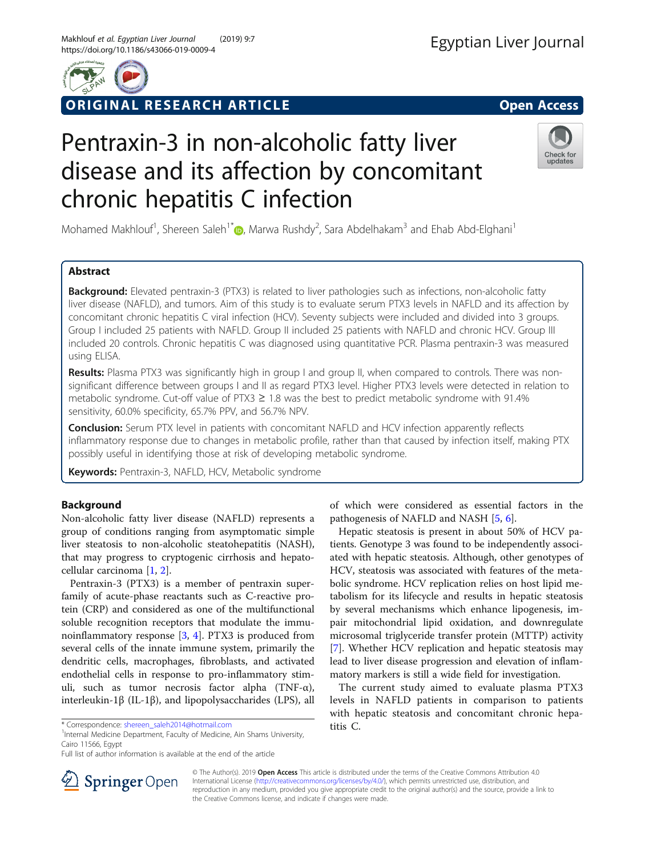

## ORIGINAL RESEARCH ARTICLE **Solution Contract Contract Contract Contract Contract Contract Contract Contract Contract Contract Contract Contract Contract Contract Contract Contract Contract Contract Contract Contract Contra**

# Pentraxin-3 in non-alcoholic fatty liver disease and its affection by concomitant chronic hepatitis C infection



Mohamed Makhlouf<sup>1</sup>[,](http://orcid.org/0000-0002-0984-1725) Shereen Saleh<sup>1\*</sup> (**D**, Marwa Rushdy<sup>2</sup>, Sara Abdelhakam<sup>3</sup> and Ehab Abd-Elghani<sup>1</sup>

## Abstract

**Background:** Elevated pentraxin-3 (PTX3) is related to liver pathologies such as infections, non-alcoholic fatty liver disease (NAFLD), and tumors. Aim of this study is to evaluate serum PTX3 levels in NAFLD and its affection by concomitant chronic hepatitis C viral infection (HCV). Seventy subjects were included and divided into 3 groups. Group I included 25 patients with NAFLD. Group II included 25 patients with NAFLD and chronic HCV. Group III included 20 controls. Chronic hepatitis C was diagnosed using quantitative PCR. Plasma pentraxin-3 was measured using ELISA.

Results: Plasma PTX3 was significantly high in group I and group II, when compared to controls. There was nonsignificant difference between groups Ι and ΙΙ as regard PTX3 level. Higher PTX3 levels were detected in relation to metabolic syndrome. Cut-off value of PTX3 ≥ 1.8 was the best to predict metabolic syndrome with 91.4% sensitivity, 60.0% specificity, 65.7% PPV, and 56.7% NPV.

**Conclusion:** Serum PTX level in patients with concomitant NAFLD and HCV infection apparently reflects inflammatory response due to changes in metabolic profile, rather than that caused by infection itself, making PTX possibly useful in identifying those at risk of developing metabolic syndrome.

Keywords: Pentraxin-3, NAFLD, HCV, Metabolic syndrome

## Background

Non-alcoholic fatty liver disease (NAFLD) represents a group of conditions ranging from asymptomatic simple liver steatosis to non-alcoholic steatohepatitis (NASH), that may progress to cryptogenic cirrhosis and hepatocellular carcinoma [\[1](#page-6-0), [2](#page-6-0)].

Pentraxin-3 (PTX3) is a member of pentraxin superfamily of acute-phase reactants such as C-reactive protein (CRP) and considered as one of the multifunctional soluble recognition receptors that modulate the immunoinflammatory response [[3,](#page-6-0) [4](#page-6-0)]. PTX3 is produced from several cells of the innate immune system, primarily the dendritic cells, macrophages, fibroblasts, and activated endothelial cells in response to pro-inflammatory stimuli, such as tumor necrosis factor alpha (TNF-α), interleukin-1β (IL-1β), and lipopolysaccharides (LPS), all

<sup>1</sup>Internal Medicine Department, Faculty of Medicine, Ain Shams University, Cairo 11566, Egypt

of which were considered as essential factors in the pathogenesis of NAFLD and NASH [\[5,](#page-6-0) [6\]](#page-6-0).

Hepatic steatosis is present in about 50% of HCV patients. Genotype 3 was found to be independently associated with hepatic steatosis. Although, other genotypes of HCV, steatosis was associated with features of the metabolic syndrome. HCV replication relies on host lipid metabolism for its lifecycle and results in hepatic steatosis by several mechanisms which enhance lipogenesis, impair mitochondrial lipid oxidation, and downregulate microsomal triglyceride transfer protein (MTTP) activity [[7\]](#page-6-0). Whether HCV replication and hepatic steatosis may lead to liver disease progression and elevation of inflammatory markers is still a wide field for investigation.

The current study aimed to evaluate plasma PTX3 levels in NAFLD patients in comparison to patients with hepatic steatosis and concomitant chronic hepatitis C.



© The Author(s). 2019 Open Access This article is distributed under the terms of the Creative Commons Attribution 4.0 International License ([http://creativecommons.org/licenses/by/4.0/\)](http://creativecommons.org/licenses/by/4.0/), which permits unrestricted use, distribution, and reproduction in any medium, provided you give appropriate credit to the original author(s) and the source, provide a link to the Creative Commons license, and indicate if changes were made.

<sup>\*</sup> Correspondence: [shereen\\_saleh2014@hotmail.com](mailto:shereen_saleh2014@hotmail.com) <sup>1</sup>

Full list of author information is available at the end of the article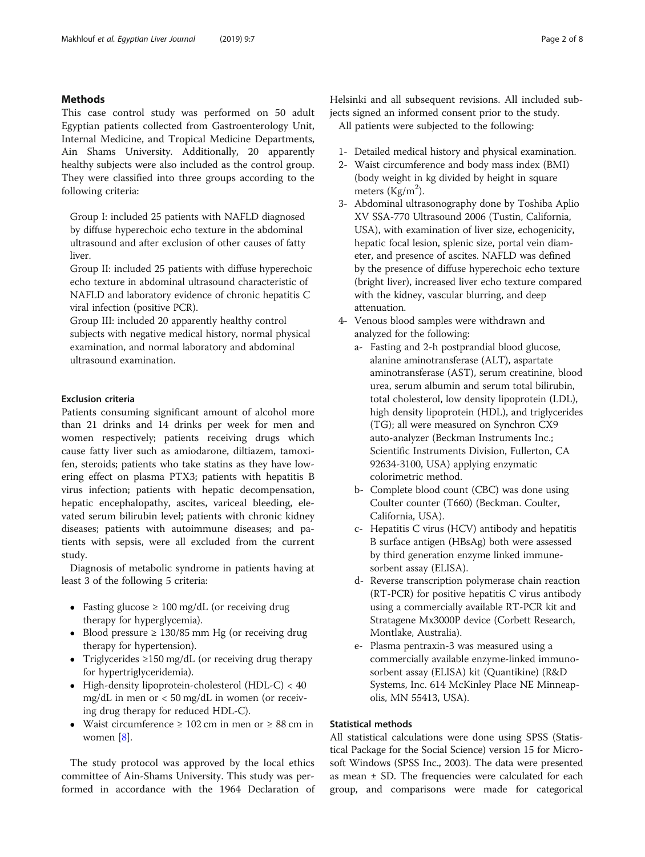## Methods

This case control study was performed on 50 adult Egyptian patients collected from Gastroenterology Unit, Internal Medicine, and Tropical Medicine Departments, Ain Shams University. Additionally, 20 apparently healthy subjects were also included as the control group. They were classified into three groups according to the following criteria:

Group I: included 25 patients with NAFLD diagnosed by diffuse hyperechoic echo texture in the abdominal ultrasound and after exclusion of other causes of fatty liver.

Group II: included 25 patients with diffuse hyperechoic echo texture in abdominal ultrasound characteristic of NAFLD and laboratory evidence of chronic hepatitis C viral infection (positive PCR).

Group III: included 20 apparently healthy control subjects with negative medical history, normal physical examination, and normal laboratory and abdominal ultrasound examination.

## Exclusion criteria

Patients consuming significant amount of alcohol more than 21 drinks and 14 drinks per week for men and women respectively; patients receiving drugs which cause fatty liver such as amiodarone, diltiazem, tamoxifen, steroids; patients who take statins as they have lowering effect on plasma PTX3; patients with hepatitis B virus infection; patients with hepatic decompensation, hepatic encephalopathy, ascites, variceal bleeding, elevated serum bilirubin level; patients with chronic kidney diseases; patients with autoimmune diseases; and patients with sepsis, were all excluded from the current study.

Diagnosis of metabolic syndrome in patients having at least 3 of the following 5 criteria:

- Fasting glucose  $\geq 100$  mg/dL (or receiving drug therapy for hyperglycemia).
- $\bullet$  Blood pressure ≥ 130/85 mm Hg (or receiving drug therapy for hypertension).
- Triglycerides  $\geq 150$  mg/dL (or receiving drug therapy for hypertriglyceridemia).
- High-density lipoprotein-cholesterol (HDL-C) < 40 mg/dL in men or < 50 mg/dL in women (or receiving drug therapy for reduced HDL-C).
- Waist circumference  $\geq 102$  cm in men or  $\geq 88$  cm in women [\[8](#page-6-0)].

The study protocol was approved by the local ethics committee of Ain-Shams University. This study was performed in accordance with the 1964 Declaration of Helsinki and all subsequent revisions. All included subjects signed an informed consent prior to the study. All patients were subjected to the following:

- 1- Detailed medical history and physical examination.
- 2- Waist circumference and body mass index (BMI) (body weight in kg divided by height in square meters ( $\text{Kg/m}^2$ ).
- 3- Abdominal ultrasonography done by Toshiba Aplio XV SSA-770 Ultrasound 2006 (Tustin, California, USA), with examination of liver size, echogenicity, hepatic focal lesion, splenic size, portal vein diameter, and presence of ascites. NAFLD was defined by the presence of diffuse hyperechoic echo texture (bright liver), increased liver echo texture compared with the kidney, vascular blurring, and deep attenuation.
- 4- Venous blood samples were withdrawn and analyzed for the following:
	- a- Fasting and 2-h postprandial blood glucose, alanine aminotransferase (ALT), aspartate aminotransferase (AST), serum creatinine, blood urea, serum albumin and serum total bilirubin, total cholesterol, low density lipoprotein (LDL), high density lipoprotein (HDL), and triglycerides (TG); all were measured on Synchron CX9 auto-analyzer (Beckman Instruments Inc.; Scientific Instruments Division, Fullerton, CA 92634-3100, USA) applying enzymatic colorimetric method.
	- b- Complete blood count (CBC) was done using Coulter counter (T660) (Beckman. Coulter, California, USA).
	- c- Hepatitis C virus (HCV) antibody and hepatitis B surface antigen (HBsAg) both were assessed by third generation enzyme linked immunesorbent assay (ELISA).
	- d- Reverse transcription polymerase chain reaction (RT-PCR) for positive hepatitis C virus antibody using a commercially available RT-PCR kit and Stratagene Mx3000P device (Corbett Research, Montlake, Australia).
	- e- Plasma pentraxin-3 was measured using a commercially available enzyme-linked immunosorbent assay (ELISA) kit (Quantikine) (R&D Systems, Inc. 614 McKinley Place NE Minneapolis, MN 55413, USA).

### Statistical methods

All statistical calculations were done using SPSS (Statistical Package for the Social Science) version 15 for Microsoft Windows (SPSS Inc., 2003). The data were presented as mean  $\pm$  SD. The frequencies were calculated for each group, and comparisons were made for categorical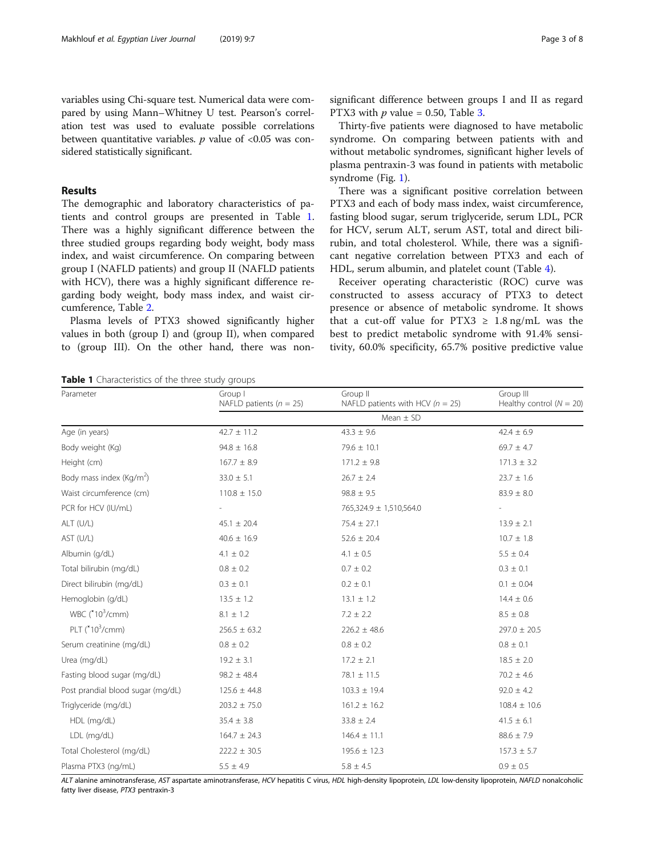variables using Chi-square test. Numerical data were compared by using Mann–Whitney U test. Pearson's correlation test was used to evaluate possible correlations between quantitative variables.  $p$  value of <0.05 was considered statistically significant.

## Results

The demographic and laboratory characteristics of patients and control groups are presented in Table 1. There was a highly significant difference between the three studied groups regarding body weight, body mass index, and waist circumference. On comparing between group Ι (NAFLD patients) and group ΙΙ (NAFLD patients with HCV), there was a highly significant difference regarding body weight, body mass index, and waist circumference, Table [2](#page-3-0).

Plasma levels of PTX3 showed significantly higher values in both (group Ι) and (group ΙΙ), when compared to (group ΙΙΙ). On the other hand, there was nonsignificant difference between groups Ι and ΙΙ as regard PTX3 with  $p$  value = 0.50, Table [3.](#page-3-0)

Thirty-five patients were diagnosed to have metabolic syndrome. On comparing between patients with and without metabolic syndromes, significant higher levels of plasma pentraxin-3 was found in patients with metabolic syndrome (Fig. [1](#page-4-0)).

There was a significant positive correlation between PTX3 and each of body mass index, waist circumference, fasting blood sugar, serum triglyceride, serum LDL, PCR for HCV, serum ALT, serum AST, total and direct bilirubin, and total cholesterol. While, there was a significant negative correlation between PTX3 and each of HDL, serum albumin, and platelet count (Table [4](#page-4-0)).

Receiver operating characteristic (ROC) curve was constructed to assess accuracy of PTX3 to detect presence or absence of metabolic syndrome. It shows that a cut-off value for PTX3  $\geq$  1.8 ng/mL was the best to predict metabolic syndrome with 91.4% sensitivity, 60.0% specificity, 65.7% positive predictive value

Group ΙΙΙ

Table 1 Characteristics of the three study groups Parameter Group I

|                                      | NAFLD patients ( $n = 25$ ) | NAFLD patients with HCV ( $n = 25$ ) | Healthy control $(N = 20)$ |  |  |
|--------------------------------------|-----------------------------|--------------------------------------|----------------------------|--|--|
|                                      | Mean $\pm$ SD               |                                      |                            |  |  |
| Age (in years)                       | $42.7 \pm 11.2$             | $43.3 \pm 9.6$                       | $42.4 \pm 6.9$             |  |  |
| Body weight (Kg)                     | $94.8 \pm 16.8$             | $79.6 \pm 10.1$                      | $69.7 \pm 4.7$             |  |  |
| Height (cm)                          | $167.7 \pm 8.9$             | $171.2 \pm 9.8$                      | $171.3 \pm 3.2$            |  |  |
| Body mass index (Kg/m <sup>2</sup> ) | $33.0 \pm 5.1$              | $26.7 \pm 2.4$                       | $23.7 \pm 1.6$             |  |  |
| Waist circumference (cm)             | $110.8 \pm 15.0$            | $98.8 \pm 9.5$                       | $83.9 \pm 8.0$             |  |  |
| PCR for HCV (IU/mL)                  |                             | 765,324.9 ± 1,510,564.0              |                            |  |  |
| ALT (U/L)                            | $45.1 \pm 20.4$             | $75.4 \pm 27.1$                      | $13.9 \pm 2.1$             |  |  |
| AST (U/L)                            | $40.6 \pm 16.9$             | $52.6 \pm 20.4$                      | $10.7 \pm 1.8$             |  |  |
| Albumin (g/dL)                       | $4.1 \pm 0.2$               | $4.1 \pm 0.5$                        | $5.5 \pm 0.4$              |  |  |
| Total bilirubin (mg/dL)              | $0.8 \pm 0.2$               | $0.7 \pm 0.2$                        | $0.3 \pm 0.1$              |  |  |
| Direct bilirubin (mg/dL)             | $0.3 \pm 0.1$               | $0.2 \pm 0.1$                        | $0.1 \pm 0.04$             |  |  |
| Hemoglobin (g/dL)                    | $13.5 \pm 1.2$              | $13.1 \pm 1.2$                       | $14.4 \pm 0.6$             |  |  |
| WBC (*10 <sup>3</sup> /cmm)          | $8.1 \pm 1.2$               | $7.2 \pm 2.2$                        | $8.5 \pm 0.8$              |  |  |
| PLT ( $*103/cmm$ )                   | $256.5 \pm 63.2$            | $226.2 \pm 48.6$                     | $297.0 \pm 20.5$           |  |  |
| Serum creatinine (mg/dL)             | $0.8 \pm 0.2$               | $0.8 \pm 0.2$                        | $0.8 \pm 0.1$              |  |  |
| Urea (mg/dL)                         | $19.2 \pm 3.1$              | $17.2 \pm 2.1$                       | $18.5 \pm 2.0$             |  |  |
| Fasting blood sugar (mg/dL)          | $98.2 \pm 48.4$             | $78.1 \pm 11.5$                      | $70.2 \pm 4.6$             |  |  |
| Post prandial blood sugar (mg/dL)    | $125.6 \pm 44.8$            | $103.3 \pm 19.4$                     | $92.0 \pm 4.2$             |  |  |
| Triglyceride (mg/dL)                 | $203.2 \pm 75.0$            | $161.2 \pm 16.2$                     | $108.4 \pm 10.6$           |  |  |
| HDL (mg/dL)                          | $35.4 \pm 3.8$              | $33.8 \pm 2.4$                       | $41.5 \pm 6.1$             |  |  |
| LDL (mg/dL)                          | $164.7 \pm 24.3$            | $146.4 \pm 11.1$                     | $88.6 \pm 7.9$             |  |  |
| Total Cholesterol (mg/dL)            | $222.2 \pm 30.5$            | $195.6 \pm 12.3$                     | $157.3 \pm 5.7$            |  |  |
| Plasma PTX3 (ng/mL)                  | $5.5 \pm 4.9$               | $5.8 \pm 4.5$                        | $0.9\,\pm\,0.5$            |  |  |

Group ΙΙ

ALT alanine aminotransferase, AST aspartate aminotransferase, HCV hepatitis C virus, HDL high-density lipoprotein, LDL low-density lipoprotein, NAFLD nonalcoholic fatty liver disease, PTX3 pentraxin-3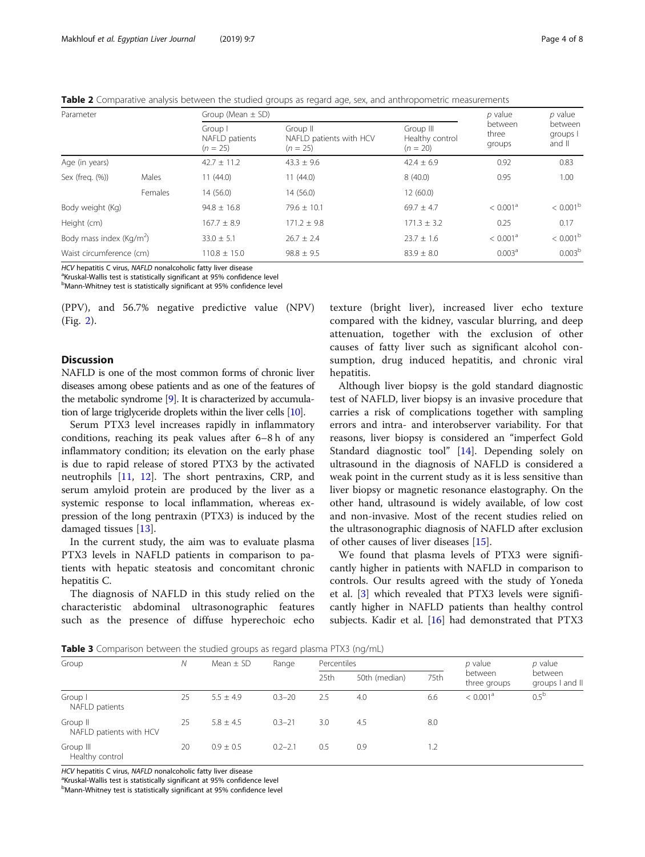<span id="page-3-0"></span>Table 2 Comparative analysis between the studied groups as regard age, sex, and anthropometric measurements

| Parameter                            |         |                                         | Group (Mean $\pm$ SD)                             |                                            |                            |                               |
|--------------------------------------|---------|-----------------------------------------|---------------------------------------------------|--------------------------------------------|----------------------------|-------------------------------|
|                                      |         | Group I<br>NAFLD patients<br>$(n = 25)$ | Group II<br>NAFLD patients with HCV<br>$(n = 25)$ | Group III<br>Healthy control<br>$(n = 20)$ | between<br>three<br>groups | between<br>groups  <br>and II |
| Age (in years)                       |         | $42.7 \pm 11.2$                         | $43.3 \pm 9.6$                                    | $42.4 \pm 6.9$                             | 0.92                       | 0.83                          |
| Sex (freq. (%))                      | Males   | 11(44.0)                                | 11(44.0)                                          | 8(40.0)                                    | 0.95                       | 1.00                          |
|                                      | Females | 14(56.0)                                | 14(56.0)                                          | 12(60.0)                                   |                            |                               |
| Body weight (Kg)                     |         | $94.8 \pm 16.8$                         | $79.6 + 10.1$                                     | $69.7 \pm 4.7$                             | < 0.001 <sup>a</sup>       | $< 0.001^{\rm b}$             |
| Height (cm)                          |         | $167.7 + 8.9$                           | $171.2 + 9.8$                                     | $171.3 \pm 3.2$                            | 0.25                       | 0.17                          |
| Body mass index (Kg/m <sup>2</sup> ) |         | $33.0 \pm 5.1$                          | $26.7 + 2.4$                                      | $23.7 + 1.6$                               | < 0.001 <sup>a</sup>       | $< 0.001^{\rm b}$             |
| Waist circumference (cm)             |         | $110.8 \pm 15.0$                        | $98.8 \pm 9.5$                                    | $83.9 \pm 8.0$                             | 0.003 <sup>a</sup>         | 0.003 <sup>b</sup>            |

HCV hepatitis C virus, NAFLD nonalcoholic fatty liver disease

<sup>a</sup>Kruskal-Wallis test is statistically significant at 95% confidence level

<sup>b</sup>Mann-Whitney test is statistically significant at 95% confidence level

(PPV), and 56.7% negative predictive value (NPV) (Fig. [2\)](#page-5-0).

## **Discussion**

NAFLD is one of the most common forms of chronic liver diseases among obese patients and as one of the features of the metabolic syndrome [[9](#page-6-0)]. It is characterized by accumulation of large triglyceride droplets within the liver cells [\[10](#page-6-0)].

Serum PTX3 level increases rapidly in inflammatory conditions, reaching its peak values after 6–8 h of any inflammatory condition; its elevation on the early phase is due to rapid release of stored PTX3 by the activated neutrophils [\[11,](#page-6-0) [12](#page-6-0)]. The short pentraxins, CRP, and serum amyloid protein are produced by the liver as a systemic response to local inflammation, whereas expression of the long pentraxin (PTX3) is induced by the damaged tissues [\[13\]](#page-6-0).

In the current study, the aim was to evaluate plasma PTX3 levels in NAFLD patients in comparison to patients with hepatic steatosis and concomitant chronic hepatitis C.

The diagnosis of NAFLD in this study relied on the characteristic abdominal ultrasonographic features such as the presence of diffuse hyperechoic echo

texture (bright liver), increased liver echo texture compared with the kidney, vascular blurring, and deep attenuation, together with the exclusion of other causes of fatty liver such as significant alcohol consumption, drug induced hepatitis, and chronic viral hepatitis.

Although liver biopsy is the gold standard diagnostic test of NAFLD, liver biopsy is an invasive procedure that carries a risk of complications together with sampling errors and intra- and interobserver variability. For that reasons, liver biopsy is considered an "imperfect Gold Standard diagnostic tool" [\[14](#page-6-0)]. Depending solely on ultrasound in the diagnosis of NAFLD is considered a weak point in the current study as it is less sensitive than liver biopsy or magnetic resonance elastography. On the other hand, ultrasound is widely available, of low cost and non-invasive. Most of the recent studies relied on the ultrasonographic diagnosis of NAFLD after exclusion of other causes of liver diseases [\[15](#page-6-0)].

We found that plasma levels of PTX3 were significantly higher in patients with NAFLD in comparison to controls. Our results agreed with the study of Yoneda et al. [\[3](#page-6-0)] which revealed that PTX3 levels were significantly higher in NAFLD patients than healthy control subjects. Kadir et al. [\[16\]](#page-6-0) had demonstrated that PTX3

**Table 3** Comparison between the studied groups as regard plasma PTX3 (ng/mL)

| Group                               | N  | Mean $\pm$ SD | Range       | Percentiles |               | p value | $p$ value               |                            |
|-------------------------------------|----|---------------|-------------|-------------|---------------|---------|-------------------------|----------------------------|
|                                     |    |               |             | 25th        | 50th (median) | 75th    | between<br>three groups | between<br>groups I and II |
| Group I<br>NAFLD patients           | 25 | $5.5 \pm 4.9$ | $0.3 - 20$  | 2.5         | 4.0           | 6.6     | < 0.001 <sup>a</sup>    | 0.5 <sup>b</sup>           |
| Group II<br>NAFLD patients with HCV | 25 | $5.8 \pm 4.5$ | $0.3 - 21$  | 3.0         | 4.5           | 8.0     |                         |                            |
| Group III<br>Healthy control        | 20 | $0.9 \pm 0.5$ | $0.2 - 2.1$ | 0.5         | 0.9           | 1.2     |                         |                            |

HCV hepatitis C virus, NAFLD nonalcoholic fatty liver disease

<sup>a</sup>Kruskal-Wallis test is statistically significant at 95% confidence level

<sup>b</sup>Mann-Whitney test is statistically significant at 95% confidence level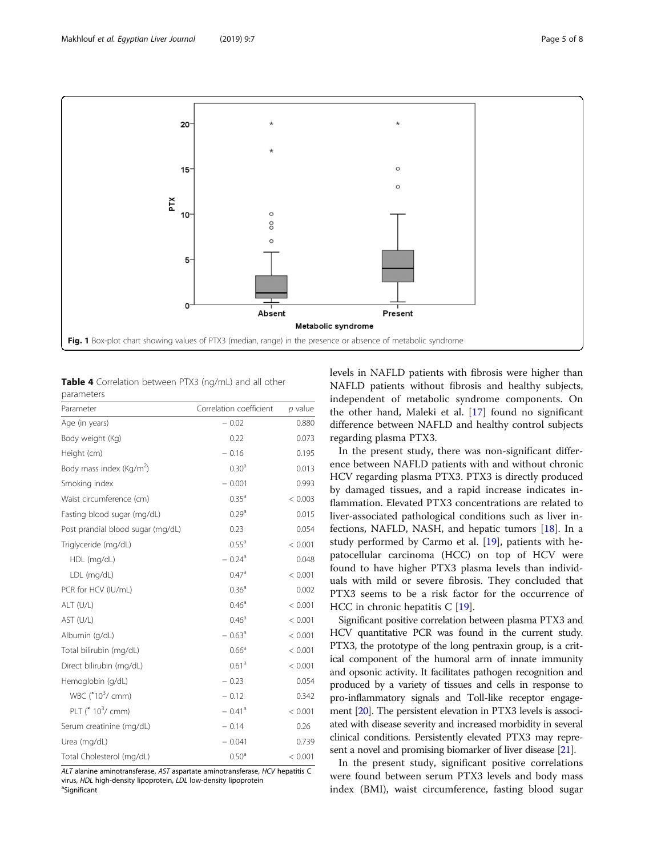<span id="page-4-0"></span>

Table 4 Correlation between PTX3 (ng/mL) and all other parameters

| Parameter                            | Correlation coefficient | $p$ value |
|--------------------------------------|-------------------------|-----------|
| Age (in years)                       | $-0.02$                 | 0.880     |
| Body weight (Kg)                     | 0.22                    | 0.073     |
| Height (cm)                          | $-0.16$                 | 0.195     |
| Body mass index (Kg/m <sup>2</sup> ) | 0.30 <sup>a</sup>       | 0.013     |
| Smoking index                        | $-0.001$                | 0.993     |
| Waist circumference (cm)             | 0.35 <sup>a</sup>       | < 0.003   |
| Fasting blood sugar (mg/dL)          | 0.29 <sup>a</sup>       | 0.015     |
| Post prandial blood sugar (mg/dL)    | 0.23                    | 0.054     |
| Triglyceride (mg/dL)                 | 0.55 <sup>a</sup>       | < 0.001   |
| HDL (mg/dL)                          | $-0.24$ <sup>a</sup>    | 0.048     |
| LDL (mg/dL)                          | 0.47 <sup>a</sup>       | < 0.001   |
| PCR for HCV (IU/mL)                  | 0.36 <sup>a</sup>       | 0.002     |
| ALT (U/L)                            | $0.46^{\circ}$          | < 0.001   |
| AST (U/L)                            | 0.46 <sup>a</sup>       | < 0.001   |
| Albumin (g/dL)                       | $-0.63$ <sup>a</sup>    | < 0.001   |
| Total bilirubin (mg/dL)              | 0.66 <sup>a</sup>       | < 0.001   |
| Direct bilirubin (mg/dL)             | 0.61 <sup>a</sup>       | < 0.001   |
| Hemoglobin (g/dL)                    | $-0.23$                 | 0.054     |
| WBC (*10 <sup>3</sup> / cmm)         | $-0.12$                 | 0.342     |
| PLT ( $*10^{3}$ / cmm)               | $-0.41$ <sup>a</sup>    | < 0.001   |
| Serum creatinine (mg/dL)             | $-0.14$                 | 0.26      |
| Urea (mg/dL)                         | $-0.041$                | 0.739     |
| Total Cholesterol (mg/dL)            | 0.50 <sup>a</sup>       | < 0.001   |

ALT alanine aminotransferase, AST aspartate aminotransferase, HCV hepatitis C virus, HDL high-density lipoprotein, LDL low-density lipoprotein Significant

levels in NAFLD patients with fibrosis were higher than NAFLD patients without fibrosis and healthy subjects, independent of metabolic syndrome components. On the other hand, Maleki et al. [\[17\]](#page-6-0) found no significant difference between NAFLD and healthy control subjects regarding plasma PTX3.

In the present study, there was non-significant difference between NAFLD patients with and without chronic HCV regarding plasma PTX3. PTX3 is directly produced by damaged tissues, and a rapid increase indicates inflammation. Elevated PTX3 concentrations are related to liver-associated pathological conditions such as liver infections, NAFLD, NASH, and hepatic tumors [[18](#page-6-0)]. In a study performed by Carmo et al. [[19\]](#page-6-0), patients with hepatocellular carcinoma (HCC) on top of HCV were found to have higher PTX3 plasma levels than individuals with mild or severe fibrosis. They concluded that PTX3 seems to be a risk factor for the occurrence of HCC in chronic hepatitis C [[19](#page-6-0)].

Significant positive correlation between plasma PTX3 and HCV quantitative PCR was found in the current study. PTX3, the prototype of the long pentraxin group, is a critical component of the humoral arm of innate immunity and opsonic activity. It facilitates pathogen recognition and produced by a variety of tissues and cells in response to pro-inflammatory signals and Toll-like receptor engagement [[20](#page-6-0)]. The persistent elevation in PTX3 levels is associated with disease severity and increased morbidity in several clinical conditions. Persistently elevated PTX3 may represent a novel and promising biomarker of liver disease [[21](#page-6-0)].

In the present study, significant positive correlations were found between serum PTX3 levels and body mass index (BMI), waist circumference, fasting blood sugar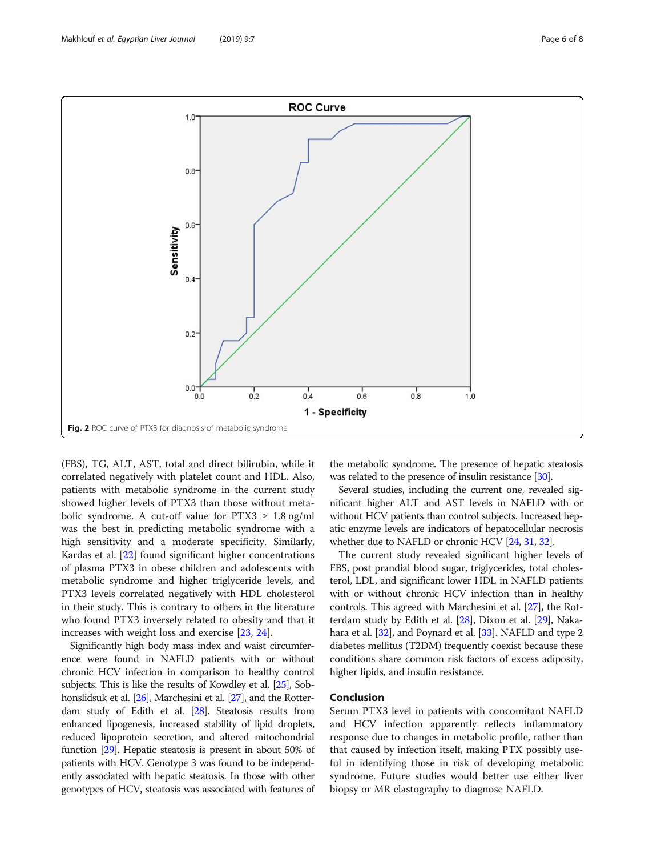<span id="page-5-0"></span>

(FBS), TG, ALT, AST, total and direct bilirubin, while it correlated negatively with platelet count and HDL. Also, patients with metabolic syndrome in the current study showed higher levels of PTX3 than those without metabolic syndrome. A cut-off value for  $PTX3 \geq 1.8$  ng/ml was the best in predicting metabolic syndrome with a high sensitivity and a moderate specificity. Similarly, Kardas et al. [\[22](#page-6-0)] found significant higher concentrations of plasma PTX3 in obese children and adolescents with metabolic syndrome and higher triglyceride levels, and PTX3 levels correlated negatively with HDL cholesterol in their study. This is contrary to others in the literature who found PTX3 inversely related to obesity and that it increases with weight loss and exercise [[23,](#page-6-0) [24\]](#page-6-0).

Significantly high body mass index and waist circumference were found in NAFLD patients with or without chronic HCV infection in comparison to healthy control subjects. This is like the results of Kowdley et al. [\[25](#page-6-0)], Sob-honslidsuk et al. [[26](#page-6-0)], Marchesini et al. [\[27\]](#page-6-0), and the Rotterdam study of Edith et al. [\[28\]](#page-6-0). Steatosis results from enhanced lipogenesis, increased stability of lipid droplets, reduced lipoprotein secretion, and altered mitochondrial function [\[29](#page-7-0)]. Hepatic steatosis is present in about 50% of patients with HCV. Genotype 3 was found to be independently associated with hepatic steatosis. In those with other genotypes of HCV, steatosis was associated with features of

the metabolic syndrome. The presence of hepatic steatosis was related to the presence of insulin resistance [\[30\]](#page-7-0).

Several studies, including the current one, revealed significant higher ALT and AST levels in NAFLD with or without HCV patients than control subjects. Increased hepatic enzyme levels are indicators of hepatocellular necrosis whether due to NAFLD or chronic HCV [\[24](#page-6-0), [31](#page-7-0), [32](#page-7-0)].

The current study revealed significant higher levels of FBS, post prandial blood sugar, triglycerides, total cholesterol, LDL, and significant lower HDL in NAFLD patients with or without chronic HCV infection than in healthy controls. This agreed with Marchesini et al. [\[27\]](#page-6-0), the Rotterdam study by Edith et al. [\[28\]](#page-6-0), Dixon et al. [\[29\]](#page-7-0), Nakahara et al. [[32](#page-7-0)], and Poynard et al. [[33](#page-7-0)]. NAFLD and type 2 diabetes mellitus (T2DM) frequently coexist because these conditions share common risk factors of excess adiposity, higher lipids, and insulin resistance.

## Conclusion

Serum PTX3 level in patients with concomitant NAFLD and HCV infection apparently reflects inflammatory response due to changes in metabolic profile, rather than that caused by infection itself, making PTX possibly useful in identifying those in risk of developing metabolic syndrome. Future studies would better use either liver biopsy or MR elastography to diagnose NAFLD.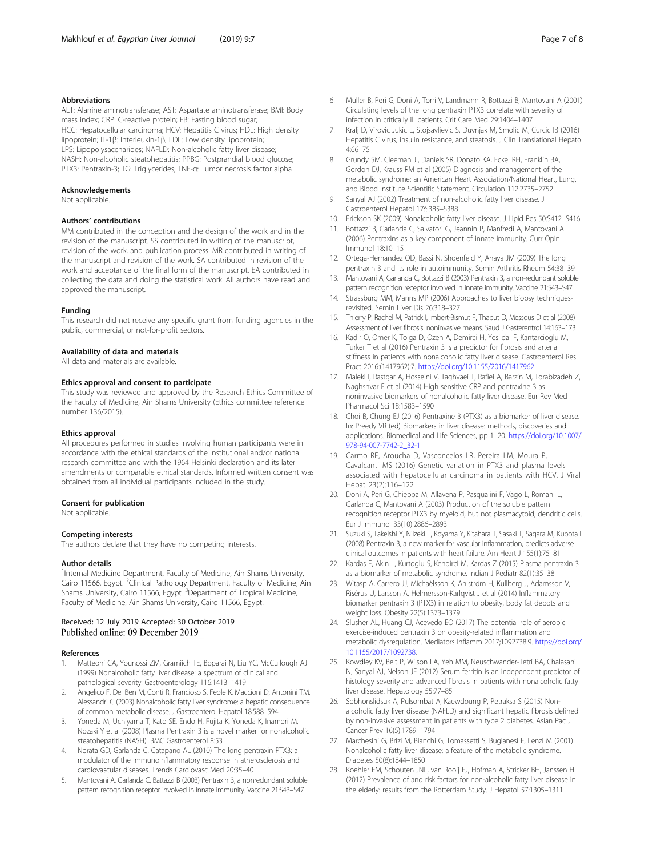#### <span id="page-6-0"></span>Abbreviations

ALT: Alanine aminotransferase; AST: Aspartate aminotransferase; BMI: Body mass index; CRP: C-reactive protein; FB: Fasting blood sugar; HCC: Hepatocellular carcinoma; HCV: Hepatitis C virus; HDL: High density lipoprotein; IL-1β: Interleukin-1β; LDL: Low density lipoprotein; LPS: Lipopolysaccharides; NAFLD: Non-alcoholic fatty liver disease; NASH: Non-alcoholic steatohepatitis; PPBG: Postprandial blood glucose; PTX3: Pentraxin-3; TG: Triglycerides; TNF-α: Tumor necrosis factor alpha

#### Acknowledgements

Not applicable.

#### Authors' contributions

MM contributed in the conception and the design of the work and in the revision of the manuscript. SS contributed in writing of the manuscript, revision of the work, and publication process. MR contributed in writing of the manuscript and revision of the work. SA contributed in revision of the work and acceptance of the final form of the manuscript. EA contributed in collecting the data and doing the statistical work. All authors have read and approved the manuscript.

#### Funding

This research did not receive any specific grant from funding agencies in the public, commercial, or not-for-profit sectors.

#### Availability of data and materials

All data and materials are available.

#### Ethics approval and consent to participate

This study was reviewed and approved by the Research Ethics Committee of the Faculty of Medicine, Ain Shams University (Ethics committee reference number 136/2015).

#### Ethics approval

All procedures performed in studies involving human participants were in accordance with the ethical standards of the institutional and/or national research committee and with the 1964 Helsinki declaration and its later amendments or comparable ethical standards. Informed written consent was obtained from all individual participants included in the study.

#### Consent for publication

Not applicable.

#### Competing interests

The authors declare that they have no competing interests.

#### Author details

<sup>1</sup>Internal Medicine Department, Faculty of Medicine, Ain Shams University, Cairo 11566, Egypt. <sup>2</sup>Clinical Pathology Department, Faculty of Medicine, Ain Shams University, Cairo 11566, Egypt.<sup>3</sup> Department of Tropical Medicine, Faculty of Medicine, Ain Shams University, Cairo 11566, Egypt.

## Received: 12 July 2019 Accepted: 30 October 2019

#### References

- 1. Matteoni CA, Younossi ZM, Gramiich TE, Boparai N, Liu YC, McCullough AJ (1999) Nonalcoholic fatty liver disease: a spectrum of clinical and pathological severity. Gastroenterology 116:1413–1419
- 2. Angelico F, Del Ben M, Conti R, Francioso S, Feole K, Maccioni D, Antonini TM, Alessandri C (2003) Nonalcoholic fatty liver syndrome: a hepatic consequence of common metabolic disease. J Gastroenterol Hepatol 18:588–594
- 3. Yoneda M, Uchiyama T, Kato SE, Endo H, Fujita K, Yoneda K, Inamori M, Nozaki Y et al (2008) Plasma Pentraxin 3 is a novel marker for nonalcoholic steatohepatitis (NASH). BMC Gastroenterol 8:53
- 4. Norata GD, Garlanda C, Catapano AL (2010) The long pentraxin PTX3: a modulator of the immunoinflammatory response in atherosclerosis and cardiovascular diseases. Trends Cardiovasc Med 20:35–40
- 5. Mantovani A, Garlanda C, Battazzi B (2003) Pentraxin 3, a nonredundant soluble pattern recognition receptor involved in innate immunity. Vaccine 21:S43–S47
- 6. Muller B, Peri G, Doni A, Torri V, Landmann R, Bottazzi B, Mantovani A (2001) Circulating levels of the long pentraxin PTX3 correlate with severity of infection in critically ill patients. Crit Care Med 29:1404–1407
- 7. Kralj D, Virovic Jukic L, Stojsavljevic S, Duvnjak M, Smolic M, Curcic IB (2016) Hepatitis C virus, insulin resistance, and steatosis. J Clin Translational Hepatol 4:66–75
- 8. Grundy SM, Cleeman JI, Daniels SR, Donato KA, Eckel RH, Franklin BA, Gordon DJ, Krauss RM et al (2005) Diagnosis and management of the metabolic syndrome: an American Heart Association/National Heart, Lung, and Blood Institute Scientific Statement. Circulation 112:2735–2752
- 9. Sanyal AJ (2002) Treatment of non-alcoholic fatty liver disease. J Gastroenterol Hepatol 17:S385–S388
- 10. Erickson SK (2009) Nonalcoholic fatty liver disease. J Lipid Res 50:S412–S416
- 11. Bottazzi B, Garlanda C, Salvatori G, Jeannin P, Manfredi A, Mantovani A (2006) Pentraxins as a key component of innate immunity. Curr Opin Immunol 18:10–15
- 12. Ortega-Hernandez OD, Bassi N, Shoenfeld Y, Anaya JM (2009) The long pentraxin 3 and its role in autoimmunity. Semin Arthritis Rheum 54:38–39
- 13. Mantovani A, Garlanda C, Bottazzi B (2003) Pentraxin 3, a non-redundant soluble pattern recognition receptor involved in innate immunity. Vaccine 21:S43–S47
- 14. Strassburg MM, Manns MP (2006) Approaches to liver biopsy techniquesrevisited. Semin Liver Dis 26:318–327
- 15. Thierry P, Rachel M, Patrick I, Imbert-Bismut F, Thabut D, Messous D et al (2008) Assessment of liver fibrosis: noninvasive means. Saud J Gasterentrol 14:163–173
- 16. Kadir O, Omer K, Tolga D, Ozen A, Demirci H, Yesildal F, Kantarcioglu M, Turker T et al (2016) Pentraxin 3 is a predictor for fibrosis and arterial stiffness in patients with nonalcoholic fatty liver disease. Gastroenterol Res Pract 2016:(1417962):7. <https://doi.org/10.1155/2016/1417962>
- 17. Maleki I, Rastgar A, Hosseini V, Taghvaei T, Rafiei A, Barzin M, Torabizadeh Z, Naghshvar F et al (2014) High sensitive CRP and pentraxine 3 as noninvasive biomarkers of nonalcoholic fatty liver disease. Eur Rev Med Pharmacol Sci 18:1583–1590
- 18. Choi B, Chung EJ (2016) Pentraxine 3 (PTX3) as a biomarker of liver disease. In: Preedy VR (ed) Biomarkers in liver disease: methods, discoveries and applications. Biomedical and Life Sciences, pp 1–20. [https://doi.org/10.1007/](https://doi.org/10.1007/978-94-007-7742-2_32-1) [978-94-007-7742-2\\_32-1](https://doi.org/10.1007/978-94-007-7742-2_32-1)
- 19. Carmo RF, Aroucha D, Vasconcelos LR, Pereira LM, Moura P, Cavalcanti MS (2016) Genetic variation in PTX3 and plasma levels associated with hepatocellular carcinoma in patients with HCV. J Viral Hepat 23(2):116–122
- 20. Doni A, Peri G, Chieppa M, Allavena P, Pasqualini F, Vago L, Romani L, Garlanda C, Mantovani A (2003) Production of the soluble pattern recognition receptor PTX3 by myeloid, but not plasmacytoid, dendritic cells. Eur J Immunol 33(10):2886–2893
- 21. Suzuki S, Takeishi Y, Niizeki T, Koyama Y, Kitahara T, Sasaki T, Sagara M, Kubota I (2008) Pentraxin 3, a new marker for vascular inflammation, predicts adverse clinical outcomes in patients with heart failure. Am Heart J 155(1):75–81
- 22. Kardas F, Akın L, Kurtoglu S, Kendirci M, Kardas Z (2015) Plasma pentraxin 3 as a biomarker of metabolic syndrome. Indian J Pediatr 82(1):35–38
- 23. Witasp A, Carrero JJ, Michaëlsson K, Ahlström H, Kullberg J, Adamsson V, Risérus U, Larsson A, Helmersson-Karlqvist J et al (2014) Inflammatory biomarker pentraxin 3 (PTX3) in relation to obesity, body fat depots and weight loss. Obesity 22(5):1373–1379
- 24. Slusher AL, Huang CJ, Acevedo EO (2017) The potential role of aerobic exercise-induced pentraxin 3 on obesity-related inflammation and metabolic dysregulation. Mediators Inflamm 2017;1092738:9. [https://doi.org/](https://doi.org/10.1155/2017/1092738) [10.1155/2017/1092738.](https://doi.org/10.1155/2017/1092738)
- 25. Kowdley KV, Belt P, Wilson LA, Yeh MM, Neuschwander-Tetri BA, Chalasani N, Sanyal AJ, Nelson JE (2012) Serum ferritin is an independent predictor of histology severity and advanced fibrosis in patients with nonalcoholic fatty liver disease. Hepatology 55:77–85
- 26. Sobhonslidsuk A, Pulsombat A, Kaewdoung P, Petraksa S (2015) Nonalcoholic fatty liver disease (NAFLD) and significant hepatic fibrosis defined by non-invasive assessment in patients with type 2 diabetes. Asian Pac J Cancer Prev 16(5):1789–1794
- 27. Marchesini G, Brizi M, Bianchi G, Tomassetti S, Bugianesi E, Lenzi M (2001) Nonalcoholic fatty liver disease: a feature of the metabolic syndrome. Diabetes 50(8):1844–1850
- 28. Koehler EM, Schouten JNL, van Rooij FJ, Hofman A, Stricker BH, Janssen HL (2012) Prevalence of and risk factors for non-alcoholic fatty liver disease in the elderly: results from the Rotterdam Study. J Hepatol 57:1305–1311